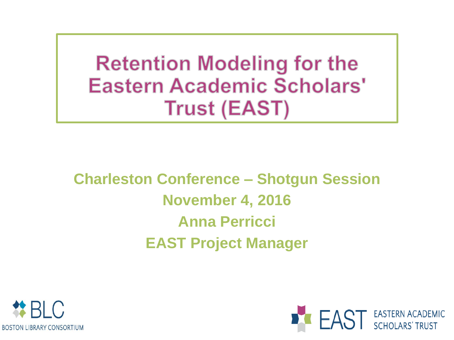**Retention Modeling for the Eastern Academic Scholars' Trust (EAST)** 

**Charleston Conference – Shotgun Session November 4, 2016 Anna Perricci EAST Project Manager**



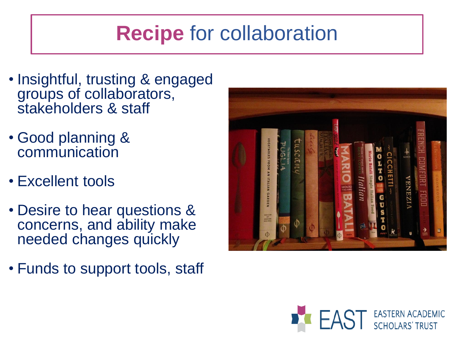# **Recipe** for collaboration

- Insightful, trusting & engaged groups of collaborators, stakeholders & staff
- Good planning & communication
- Excellent tools
- Desire to hear questions & concerns, and ability make needed changes quickly
- Funds to support tools, staff



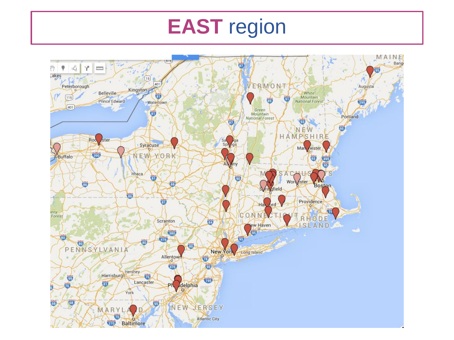# **EAST** region

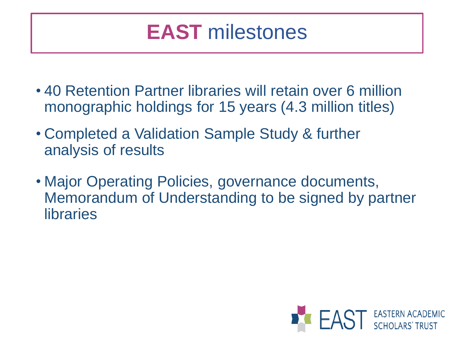# **EAST** milestones

- 40 Retention Partner libraries will retain over 6 million monographic holdings for 15 years (4.3 million titles)
- Completed a Validation Sample Study & further analysis of results
- Major Operating Policies, governance documents, Memorandum of Understanding to be signed by partner libraries

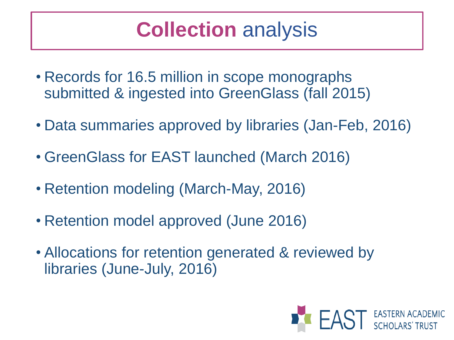# **Collection** analysis

- Records for 16.5 million in scope monographs submitted & ingested into GreenGlass (fall 2015)
- Data summaries approved by libraries (Jan-Feb, 2016)
- GreenGlass for EAST launched (March 2016)
- Retention modeling (March-May, 2016)
- Retention model approved (June 2016)
- Allocations for retention generated & reviewed by libraries (June-July, 2016)

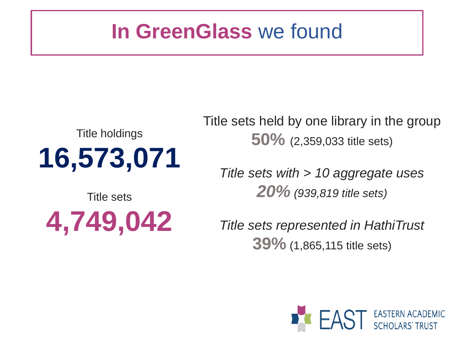#### **In GreenGlass** we found

# Title holdings **16,573,071**

Title sets

**4,749,042**

Title sets held by one library in the group **50%** (2,359,033 title sets)

*Title sets with > 10 aggregate uses 20% (939,819 title sets)*

*Title sets represented in HathiTrust* **39%** (1,865,115 title sets)

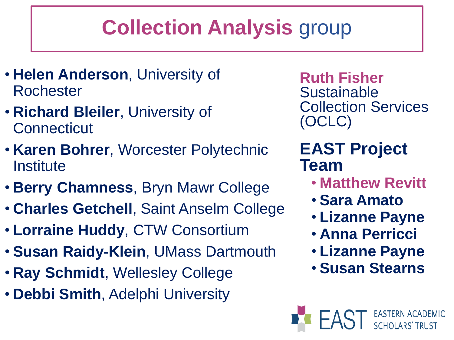# **Collection Analysis** group

- **Helen Anderson**, University of Rochester
- **Richard Bleiler**, University of **Connecticut**
- **Karen Bohrer**, Worcester Polytechnic **Institute**
- **Berry Chamness**, Bryn Mawr College
- **Charles Getchell**, Saint Anselm College
- **Lorraine Huddy**, CTW Consortium
- **Susan Raidy-Klein**, UMass Dartmouth
- **Ray Schmidt**, Wellesley College
- **Debbi Smith**, Adelphi University

**Ruth Fisher Sustainable** Collection Services (OCLC)

#### **EAST Project Team**

- **Matthew Revitt**
- **Sara Amato**
- **Lizanne Payne**
- **Anna Perricci**
- **Lizanne Payne**
- **Susan Stearns**

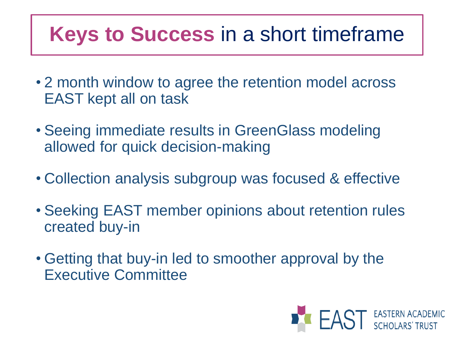# **Keys to Success** in a short timeframe

- 2 month window to agree the retention model across EAST kept all on task
- Seeing immediate results in GreenGlass modeling allowed for quick decision-making
- Collection analysis subgroup was focused & effective
- Seeking EAST member opinions about retention rules created buy-in
- Getting that buy-in led to smoother approval by the Executive Committee

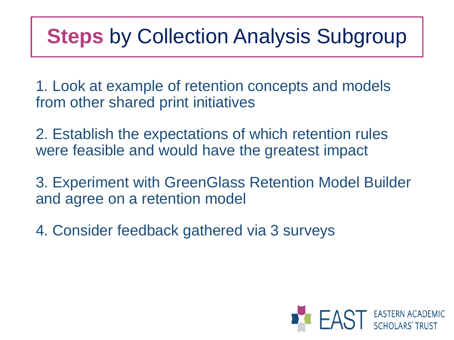#### **Steps** by Collection Analysis Subgroup

1. Look at example of retention concepts and models from other shared print initiatives

2. Establish the expectations of which retention rules were feasible and would have the greatest impact

3. Experiment with GreenGlass Retention Model Builder and agree on a retention model

4. Consider feedback gathered via 3 surveys

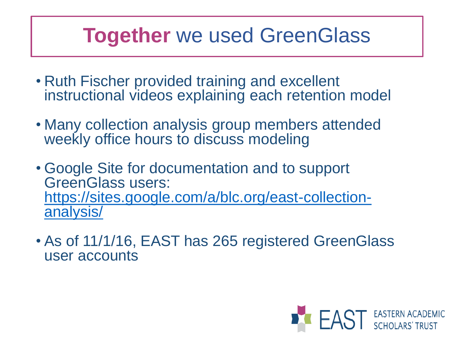#### **Together** we used GreenGlass

- Ruth Fischer provided training and excellent instructional videos explaining each retention model
- Many collection analysis group members attended weekly office hours to discuss modeling
- Google Site for documentation and to support GreenGlass users: [https://sites.google.com/a/blc.org/east-collection](https://sites.google.com/a/blc.org/east-collection-analysis/)analysis/
- As of 11/1/16, EAST has 265 registered GreenGlass user accounts

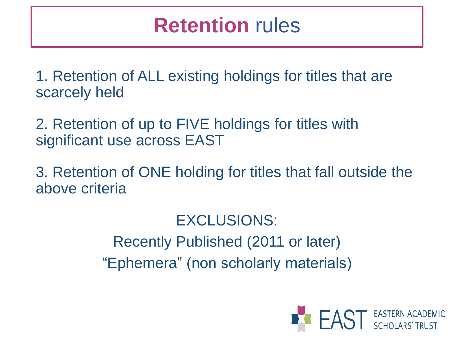### **Retention** rules

1. Retention of ALL existing holdings for titles that are scarcely held

2. Retention of up to FIVE holdings for titles with significant use across EAST

3. Retention of ONE holding for titles that fall outside the above criteria

> EXCLUSIONS: Recently Published (2011 or later) "Ephemera" (non scholarly materials)

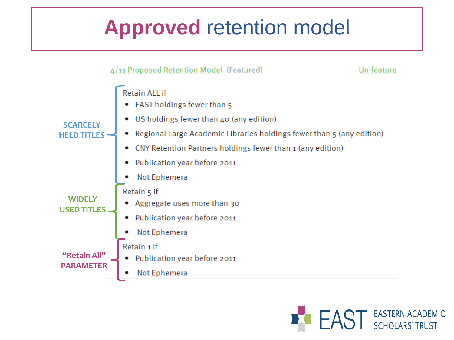# **Approved** retention model



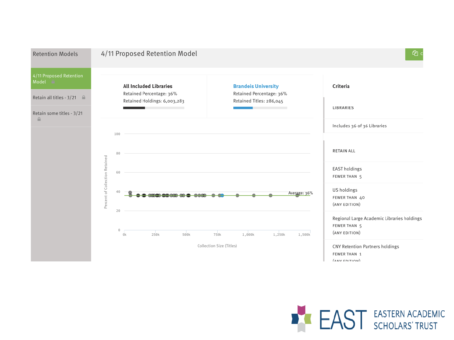

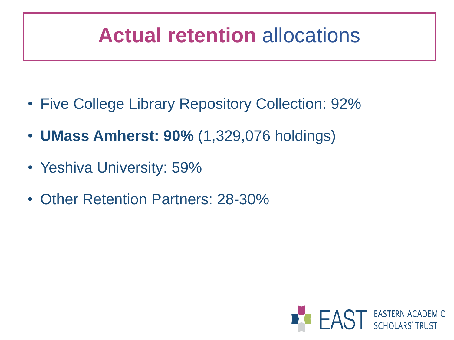# **Actual retention** allocations

- Five College Library Repository Collection: 92%
- **UMass Amherst: 90%** (1,329,076 holdings)
- Yeshiva University: 59%
- Other Retention Partners: 28-30%

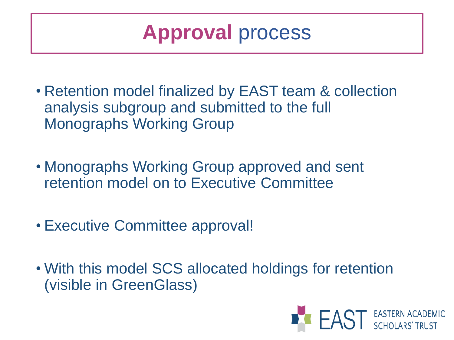**Approval** process

- Retention model finalized by EAST team & collection analysis subgroup and submitted to the full Monographs Working Group
- Monographs Working Group approved and sent retention model on to Executive Committee
- Executive Committee approval!
- With this model SCS allocated holdings for retention (visible in GreenGlass)

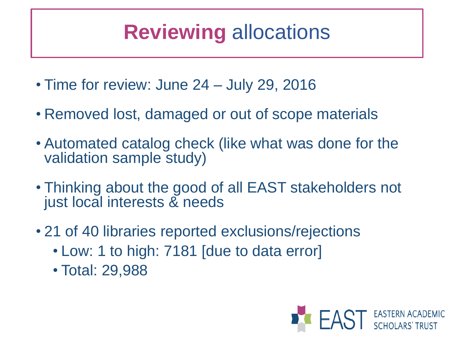# **Reviewing** allocations

- Time for review: June 24 July 29, 2016
- Removed lost, damaged or out of scope materials
- Automated catalog check (like what was done for the validation sample study)
- Thinking about the good of all EAST stakeholders not just local interests & needs
- 21 of 40 libraries reported exclusions/rejections
	- Low: 1 to high: 7181 [due to data error]
	- Total: 29,988

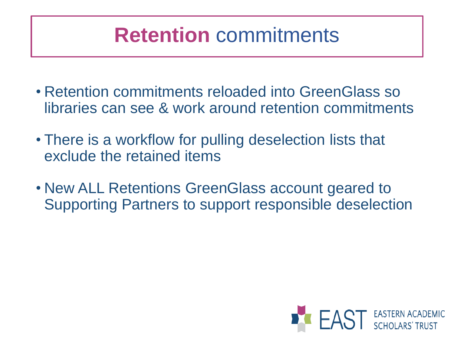### **Retention** commitments

- Retention commitments reloaded into GreenGlass so libraries can see & work around retention commitments
- There is a workflow for pulling deselection lists that exclude the retained items
- New ALL Retentions GreenGlass account geared to Supporting Partners to support responsible deselection

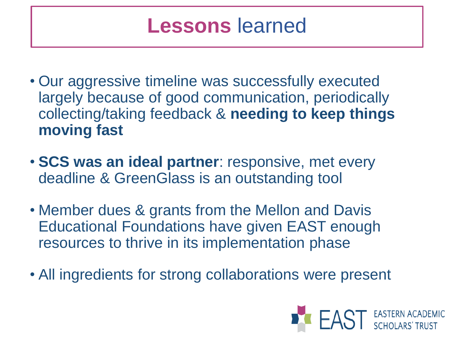#### **Lessons** learned

- Our aggressive timeline was successfully executed largely because of good communication, periodically collecting/taking feedback & **needing to keep things moving fast**
- **SCS was an ideal partner**: responsive, met every deadline & GreenGlass is an outstanding tool
- Member dues & grants from the Mellon and Davis Educational Foundations have given EAST enough resources to thrive in its implementation phase
- All ingredients for strong collaborations were present

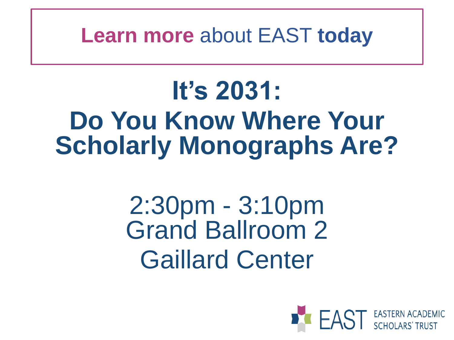**Learn more** about EAST **today**

# **It's 2031: Do You Know Where Your Scholarly Monographs Are?**

# 2:30pm - 3:10pm Grand Ballroom 2 Gaillard Center